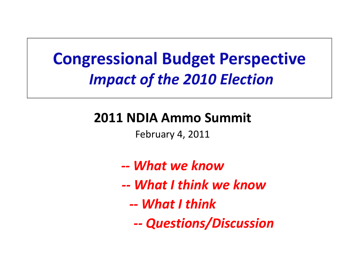### **Congressional Budget Perspective** *Impact of the 2010 Election*

#### **2011 NDIA Ammo Summit**

February 4, 2011

- *‐‐ What we know*
- *‐‐ What I think we know*
	- *‐‐ What I think*
		- *‐‐Questions/Discussion*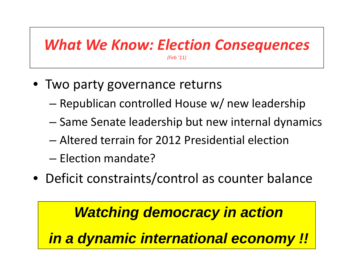### *What We Know: Election Consequences*

*(Feb '11)*

- Two party governance returns
	- –Republican controlled House w/ new leadership
	- –— Same Senate leadership but new internal dynamics
	- Altered terrain for 2012 Presidential election
	- Election mandate?
- Deficit constraints/control as counter balance

#### *Watching democracy in action*

*in a dynamic international economy !!*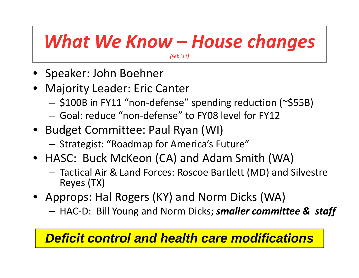### *What We Know – House changes*

*(Feb '11)*

- Speaker: John Boehner
- Majority Leader: Eric Canter
	- –\$100B in FY11 "non‐defense" spending reduction (~\$55B)
	- Goal: reduce "non‐defense" to FY08 level for FY12
- Budget Committee: Paul Ryan (WI)
	- Strategist: "Roadmap for America's Future"
- HASC: Buck McKeon (CA) and Adam Smith (WA)
	- Tactical Air & Land Forces: Roscoe Bartlett (MD) and Silvestre Reyes (TX)
- Approps: Hal Rogers (KY) and Norm Dicks (WA)
	- HAC‐D: Bill Young and Norm Dicks; *smaller committee & staff*

#### *Deficit control and health care modifications*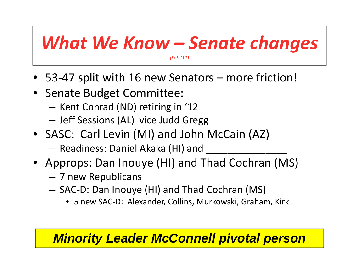## *What We Know – Senate changes*

*(Feb '11)*

- 53‐47 split with 16 new Senators more friction!
- Senate Budget Committee:
	- Kent Conrad (ND) retiring in '12
	- $-$  Jeff Sessions (AL) vice Judd Gregg
- SASC: Carl Levin (MI) and John McCain (AZ)
	- Readiness: Daniel Akaka (HI) and \_\_\_\_\_\_\_\_\_\_\_\_\_\_\_\_\_\_\_
- Approps: Dan Inouye (HI) and Thad Cochran (MS)
	- 7 new Republicans
	- – SAC‐D: Dan Inouye (HI) and Thad Cochran (MS)
		- 5 new SAC‐D: Alexander, Collins, Murkowski, Graham, Kirk

#### *Minority Leader McConnell pivotal person*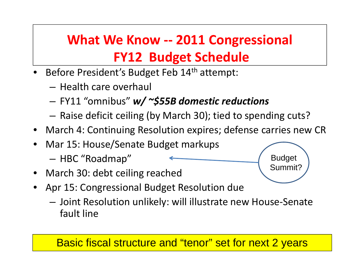### **What We Know ‐‐ 2011 Congressional FY12 Budget Schedule**

- •• Before President's Budget Feb 14<sup>th</sup> attempt:
	- Health care overhaul
	- –FY11 "omnibus" *w/ ~\$55B domestic reductions*
	- $-$  Raise deficit ceiling (by March 30); tied to spending cuts?
- March 4: Continuing Resolution expires; defense carries new CR

Budget

Summit?

- Mar 15: House/Senate Budget markups –HBC "Roadmap"
- March 30: debt ceiling reached
- Apr 15: Congressional Budget Resolution due
	- Joint Resolution unlikely: will illustrate new House‐Senate fault line

#### Basic fiscal structure and "tenor" set for next 2 years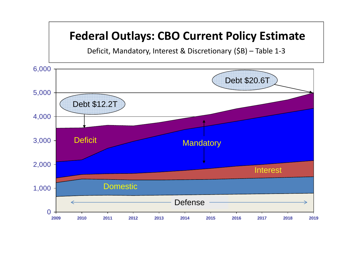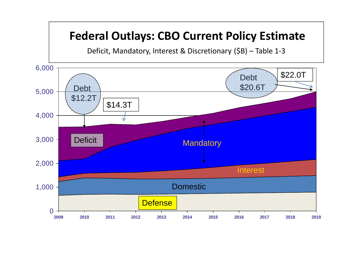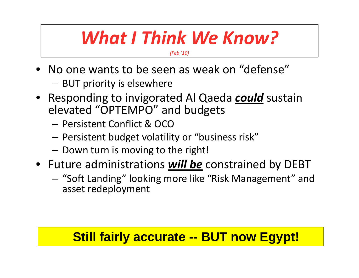### *What I Think We Know?*

*(Feb '10)*

- No one wants to be seen as weak on "defense"
	- – $-$  BUT priority is elsewhere
- Responding to invigorated Al Qaeda *could* sustain elevated "OPTEMPO" and budgets
	- Persistent Conflict & OCO
	- $-$  Persistent budget volatility or "business risk"
	- – $-$  Down turn is moving to the right!
- Future administrations *will be* constrained by DEBT
	- – "Soft Landing" looking more like "Risk Management" and asset redeployment

#### **Still fairly accurate -- BUT now Egypt!**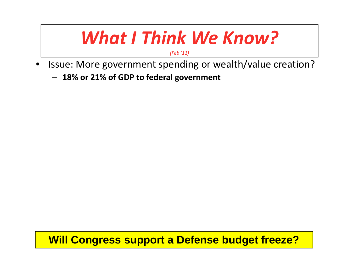### *What I Think We Know?*

*(Feb '11)*

- •• Issue: More government spending or wealth/value creation?
	- **18% or 21% of GDP to federal government**

**Will Congress support a Defense budget freeze?**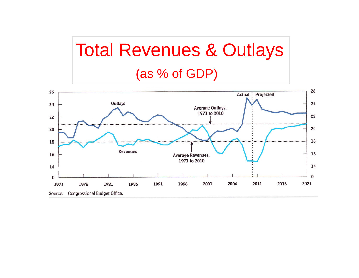## Total Revenues & Outlays (as % of GDP)

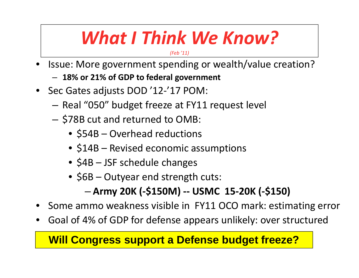## *What I Think We Know?*

*(Feb '11)*

- •• Issue: More government spending or wealth/value creation?
	- **18% or 21% of GDP to federal government**
- Sec Gates adjusts DOD '12‐'17 POM:
	- Real "050" budget freeze at FY11 request level
	- $-$  \$78B cut and returned to OMB:
		- \$54B Overhead reductions
		- \$14B Revised economic assumptions
		- \$4B JSF schedule changes
		- \$6B Outyear end strength cuts:

#### **Army 20K (‐\$150M) ‐‐ USMC 15‐20K (‐\$150)**

- •• Some ammo weakness visible in FY11 OCO mark: estimating error
- •Goal of 4% of GDP for defense appears unlikely: over structured

#### **Will Congress support a Defense budget freeze?**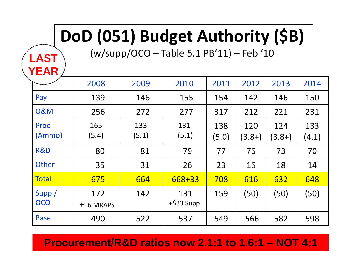# **DoD (051) Budget Authority (\$B)**

(w/supp/OCO – Table 5.1 PB'11) – Feb '10

**LAST**

**YEAR**

| .                     |                  |              |                      |              |                 |                 |              |
|-----------------------|------------------|--------------|----------------------|--------------|-----------------|-----------------|--------------|
|                       | 2008             | 2009         | 2010                 | 2011         | 2012            | 2013            | 2014         |
| Pay                   | 139              | 146          | 155                  | 154          | 142             | 146             | 150          |
| <b>0&amp;M</b>        | 256              | 272          | 277                  | 317          | 212             | 221             | 231          |
| <b>Proc</b><br>(Ammo) | 165<br>(5.4)     | 133<br>(5.1) | 131<br>(5.1)         | 138<br>(5.0) | 120<br>$(3.8+)$ | 124<br>$(3.8+)$ | 133<br>(4.1) |
| R&D                   | 80               | 81           | 79                   | 77           | 76              | 73              | 70           |
| Other                 | 35               | 31           | 26                   | 23           | 16              | 18              | 14           |
| <b>Total</b>          | 675              | 664          | 668+33               | 708          | 616             | 632             | 648          |
| Supp/<br><b>OCO</b>   | 172<br>+16 MRAPS | 142          | 131<br>$+$ \$33 Supp | 159          | (50)            | (50)            | (50)         |
| <b>Base</b>           | 490              | 522          | 537                  | 549          | 566             | 582             | 598          |

**Procurement/R&D ratios now 2.1:1 to 1.6:1 – NOT 4:1**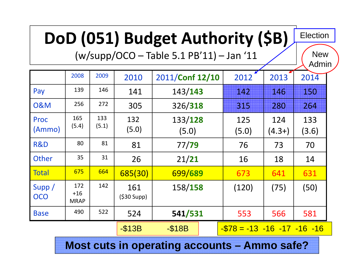# **DoD (051) Budget Authority (\$B)**

(w/supp/OCO – Table 5.1 PB'11) – Jan '11

**New** 

Election

|                     |                             |              |                   |                  |                                  |                 | Admin        |
|---------------------|-----------------------------|--------------|-------------------|------------------|----------------------------------|-----------------|--------------|
|                     | 2008                        | 2009         | 2010              | 2011/Conf 12/10  | 2012                             | 2013            | 2014         |
| Pay                 | 139                         | 146          | 141               | 143/143          | 142                              | 146             | 150          |
| <b>0&amp;M</b>      | 256                         | 272          | 305               | 326/318          | 315                              | 280             | 264          |
| Proc<br>(Ammo)      | 165<br>(5.4)                | 133<br>(5.1) | 132<br>(5.0)      | 133/128<br>(5.0) | 125<br>(5.0)                     | 124<br>$(4.3+)$ | 133<br>(3.6) |
| R&D                 | 80                          | 81           | 81                | 77/79            | 76                               | 73              | 70           |
| Other               | 35                          | 31           | 26                | 21/21            | 16                               | 18              | 14           |
| <b>Total</b>        | 675                         | 664          | 685(30)           | 699/689          | 673                              | 641             | 631          |
| Supp/<br><b>OCO</b> | 172<br>$+16$<br><b>MRAP</b> | 142          | 161<br>(530 Supp) | 158/158          | (120)                            | (75)            | (50)         |
| <b>Base</b>         | 490                         | 522          | 524               | 541/531          | 553                              | 566             | 581          |
|                     |                             |              | $-S13B$           | $-$ \$18B        | $-578 = -13 - 16 - 17 - 16 - 16$ |                 |              |

**Most cuts in operating accounts – Ammo safe?**

13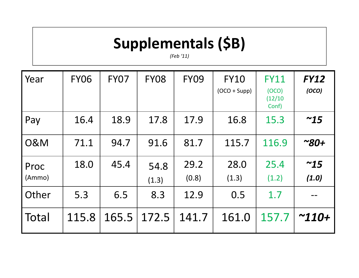### **Supplementals (\$B)**

*(Feb '11)*

| Year           | <b>FY06</b> | <b>FY07</b> | <b>FY08</b>   | <b>FY09</b>   | <b>FY10</b><br>$(OCO + Supp)$ | <b>FY11</b><br>(OCO)<br>(12/10)<br>Conf) | <b>FY12</b><br>(OCO) |
|----------------|-------------|-------------|---------------|---------------|-------------------------------|------------------------------------------|----------------------|
| Pay            | 16.4        | 18.9        | 17.8          | 17.9          | 16.8                          | 15.3                                     | ~15                  |
| <b>0&amp;M</b> | 71.1        | 94.7        | 91.6          | 81.7          | 115.7                         | 116.9                                    | $^{\sim}80+$         |
| Proc<br>(Ammo) | 18.0        | 45.4        | 54.8<br>(1.3) | 29.2<br>(0.8) | 28.0<br>(1.3)                 | 25.4<br>(1.2)                            | ~15<br>(1.0)         |
| Other          | 5.3         | 6.5         | 8.3           | 12.9          | 0.5                           | 1.7                                      |                      |
| Total          | 115.8       | 165.5       | 172.5         | 141.7         | 161.0                         | 157.7                                    | $^{\sim}110+$        |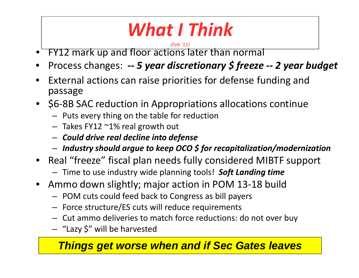# *What I Think*

#### *(Feb '11)*

- •FY12 mark up and floor actions later than normal
- •Process changes: *‐‐ <sup>5</sup> year discretionary \$ freeze ‐‐ <sup>2</sup> year budget*
- • External actions can raise priorities for defense funding and passage
- \$6-8B SAC reduction in Appropriations allocations continue
	- Puts every thing on the table for reduction
	- Takes FY12 ~1% real growth out
	- *Could drive real decline into defense*
	- *Industry should argue to keep OCO \$ for recapitalization/modernization*
- Real "freeze" fiscal plan needs fully considered MIBTF support
	- Time to use industry wide planning tools! *Soft Landing time*
- Ammo down slightly; major action in POM 13‐18 build
	- POM cuts could feed back to Congress as bill payers
	- $-$  Force structure/ES cuts will reduce requirements
	- Cut ammo deliveries to match force reductions: do not over buy
	- $-$  "Lazy \$" will be harvested

#### *Things get worse when and if Sec Gates leaves*

15